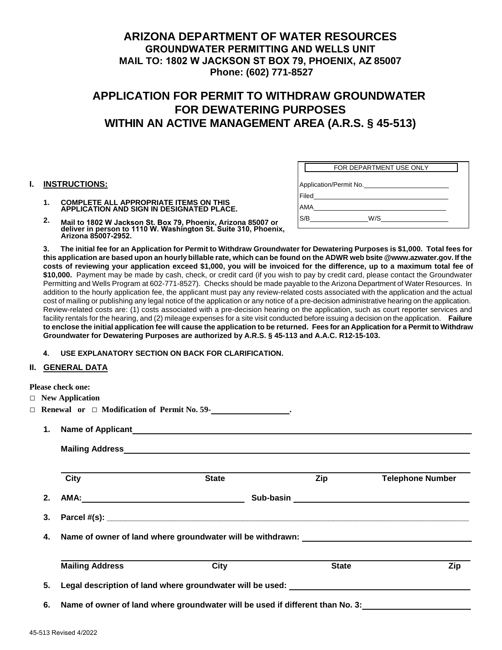### **ARIZONA DEPARTMENT OF WATER RESOURCES GROUNDWATER PERMITTING AND WELLS UNIT MAIL TO: 1802 W JACKSON ST BOX 79, PHOENIX, AZ 85007 Phone: (602) 771-8527**

# **APPLICATION FOR PERMIT TO WITHDRAW GROUNDWATER FOR DEWATERING PURPOSES WITHIN AN ACTIVE MANAGEMENT AREA (A.R.S. § 45-513)**

#### **I. INSTRUCTIONS:**

|                        | FOR DEPARTMENT USE ONLY |  |
|------------------------|-------------------------|--|
| Application/Permit No. |                         |  |
| Filed                  |                         |  |
| <b>AMA</b>             |                         |  |
| S/B                    | W/S                     |  |
|                        |                         |  |

- **1. COMPLETE ALL APPROPRIATE ITEMS ON THIS APPLICATION AND SIGN IN DESIGNATED PLACE.**
- **2. Mail to 1802 W Jackson St. Box 79, Phoenix, Arizona 85007 or deliver in person to 1110 W. Washington St. Suite 310, Phoenix, Arizona 85007-2952.**

**3. The initial fee for an Application for Permit to Withdraw Groundwater for Dewatering Purposes is \$1,000. Total fees for this application are based upon an hourly billable rate, which can be found on the ADWR web bsite @www.azwater.gov. If the costs of reviewing your application exceed \$1,000, you will be invoiced for the difference, up to a maximum total fee of \$10,000.** Payment may be made by cash, check, or credit card (if you wish to pay by credit card, please contact the Groundwater Permitting and Wells Program at 602-771-8527). Checks should be made payable to the Arizona Department of Water Resources. In addition to the hourly application fee, the applicant must pay any review-related costs associated with the application and the actual cost of mailing or publishing any legal notice of the application or any notice of a pre-decision administrative hearing on the application. Review-related costs are: (1) costs associated with a pre-decision hearing on the application, such as court reporter services and facility rentals for the hearing, and (2) mileage expenses for a site visit conducted before issuing a decision on the application. **Failure to enclose the initial application fee will cause the application to be returned. Fees for an Application for a Permit to Withdraw Groundwater for Dewatering Purposes are authorized by A.R.S. § 45-113 and A.A.C. R12-15-103.**

**4. USE EXPLANATORY SECTION ON BACK FOR CLARIFICATION.**

### **II. GENERAL DATA**

|    | <b>Please check one:</b>                                                          |                                                                                  |              |                         |  |  |  |
|----|-----------------------------------------------------------------------------------|----------------------------------------------------------------------------------|--------------|-------------------------|--|--|--|
|    | $\Box$ New Application                                                            |                                                                                  |              |                         |  |  |  |
|    |                                                                                   |                                                                                  |              |                         |  |  |  |
| 1. |                                                                                   |                                                                                  |              |                         |  |  |  |
|    |                                                                                   |                                                                                  |              |                         |  |  |  |
|    | City                                                                              | <b>State</b>                                                                     | Zip          | <b>Telephone Number</b> |  |  |  |
| 2. |                                                                                   |                                                                                  |              |                         |  |  |  |
| 3. |                                                                                   |                                                                                  |              |                         |  |  |  |
| 4. | Name of owner of land where groundwater will be withdrawn: ______________________ |                                                                                  |              |                         |  |  |  |
|    | <b>Mailing Address</b>                                                            | <b>City</b>                                                                      | <b>State</b> | Zip                     |  |  |  |
| 5. |                                                                                   | Legal description of land where groundwater will be used: ______________________ |              |                         |  |  |  |
| 6. |                                                                                   | Name of owner of land where groundwater will be used if different than No. 3:    |              |                         |  |  |  |
|    |                                                                                   |                                                                                  |              |                         |  |  |  |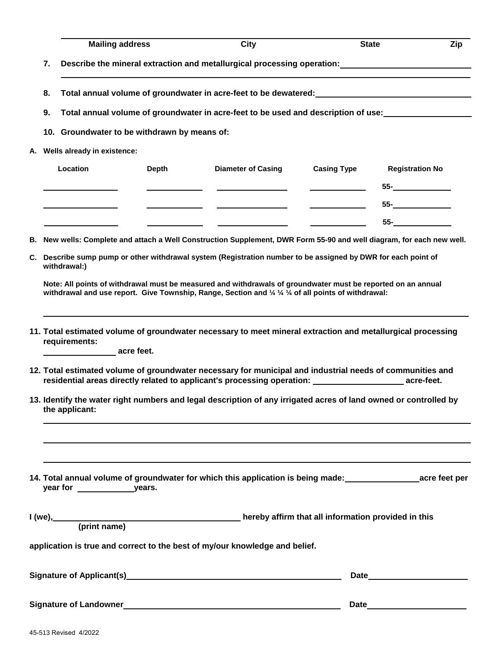| 7.<br>Total annual volume of groundwater in acre-feet to be dewatered: __________________________________<br>8.<br>Total annual volume of groundwater in acre-feet to be used and description of use:<br>9.<br>10. Groundwater to be withdrawn by means of:<br>A. Wells already in existence:<br>Location<br>Depth<br><b>Casing Type</b><br><b>Diameter of Casing</b><br><b>Registration No</b><br>$55-$<br>$55-$<br>$55-$<br>B. New wells: Complete and attach a Well Construction Supplement, DWR Form 55-90 and well diagram, for each new well.<br>C. Describe sump pump or other withdrawal system (Registration number to be assigned by DWR for each point of<br>withdrawal:)<br>Note: All points of withdrawal must be measured and withdrawals of groundwater must be reported on an annual<br>withdrawal and use report. Give Township, Range, Section and 1/4 1/4 1/4 of all points of withdrawal:<br>11. Total estimated volume of groundwater necessary to meet mineral extraction and metallurgical processing<br>requirements:<br>acre feet.<br>12. Total estimated volume of groundwater necessary for municipal and industrial needs of communities and<br>residential areas directly related to applicant's processing operation: <b>with a set all anomalized</b> acre-feet.<br>13. Identify the water right numbers and legal description of any irrigated acres of land owned or controlled by<br>the applicant:<br>14. Total annual volume of groundwater for which this application is being made: example acre feet per<br>$I(we),$ $(print name)$<br>hereby affirm that all information provided in this<br>application is true and correct to the best of my/our knowledge and belief. |  | <b>Mailing address</b> |  | City |  | <b>State</b><br>Zip |  |
|------------------------------------------------------------------------------------------------------------------------------------------------------------------------------------------------------------------------------------------------------------------------------------------------------------------------------------------------------------------------------------------------------------------------------------------------------------------------------------------------------------------------------------------------------------------------------------------------------------------------------------------------------------------------------------------------------------------------------------------------------------------------------------------------------------------------------------------------------------------------------------------------------------------------------------------------------------------------------------------------------------------------------------------------------------------------------------------------------------------------------------------------------------------------------------------------------------------------------------------------------------------------------------------------------------------------------------------------------------------------------------------------------------------------------------------------------------------------------------------------------------------------------------------------------------------------------------------------------------------------------------------------------------------------------------------------------------------|--|------------------------|--|------|--|---------------------|--|
|                                                                                                                                                                                                                                                                                                                                                                                                                                                                                                                                                                                                                                                                                                                                                                                                                                                                                                                                                                                                                                                                                                                                                                                                                                                                                                                                                                                                                                                                                                                                                                                                                                                                                                                  |  |                        |  |      |  |                     |  |
|                                                                                                                                                                                                                                                                                                                                                                                                                                                                                                                                                                                                                                                                                                                                                                                                                                                                                                                                                                                                                                                                                                                                                                                                                                                                                                                                                                                                                                                                                                                                                                                                                                                                                                                  |  |                        |  |      |  |                     |  |
|                                                                                                                                                                                                                                                                                                                                                                                                                                                                                                                                                                                                                                                                                                                                                                                                                                                                                                                                                                                                                                                                                                                                                                                                                                                                                                                                                                                                                                                                                                                                                                                                                                                                                                                  |  |                        |  |      |  |                     |  |
|                                                                                                                                                                                                                                                                                                                                                                                                                                                                                                                                                                                                                                                                                                                                                                                                                                                                                                                                                                                                                                                                                                                                                                                                                                                                                                                                                                                                                                                                                                                                                                                                                                                                                                                  |  |                        |  |      |  |                     |  |
|                                                                                                                                                                                                                                                                                                                                                                                                                                                                                                                                                                                                                                                                                                                                                                                                                                                                                                                                                                                                                                                                                                                                                                                                                                                                                                                                                                                                                                                                                                                                                                                                                                                                                                                  |  |                        |  |      |  |                     |  |
|                                                                                                                                                                                                                                                                                                                                                                                                                                                                                                                                                                                                                                                                                                                                                                                                                                                                                                                                                                                                                                                                                                                                                                                                                                                                                                                                                                                                                                                                                                                                                                                                                                                                                                                  |  |                        |  |      |  |                     |  |
|                                                                                                                                                                                                                                                                                                                                                                                                                                                                                                                                                                                                                                                                                                                                                                                                                                                                                                                                                                                                                                                                                                                                                                                                                                                                                                                                                                                                                                                                                                                                                                                                                                                                                                                  |  |                        |  |      |  |                     |  |
|                                                                                                                                                                                                                                                                                                                                                                                                                                                                                                                                                                                                                                                                                                                                                                                                                                                                                                                                                                                                                                                                                                                                                                                                                                                                                                                                                                                                                                                                                                                                                                                                                                                                                                                  |  |                        |  |      |  |                     |  |
|                                                                                                                                                                                                                                                                                                                                                                                                                                                                                                                                                                                                                                                                                                                                                                                                                                                                                                                                                                                                                                                                                                                                                                                                                                                                                                                                                                                                                                                                                                                                                                                                                                                                                                                  |  |                        |  |      |  |                     |  |
|                                                                                                                                                                                                                                                                                                                                                                                                                                                                                                                                                                                                                                                                                                                                                                                                                                                                                                                                                                                                                                                                                                                                                                                                                                                                                                                                                                                                                                                                                                                                                                                                                                                                                                                  |  |                        |  |      |  |                     |  |
|                                                                                                                                                                                                                                                                                                                                                                                                                                                                                                                                                                                                                                                                                                                                                                                                                                                                                                                                                                                                                                                                                                                                                                                                                                                                                                                                                                                                                                                                                                                                                                                                                                                                                                                  |  |                        |  |      |  |                     |  |
|                                                                                                                                                                                                                                                                                                                                                                                                                                                                                                                                                                                                                                                                                                                                                                                                                                                                                                                                                                                                                                                                                                                                                                                                                                                                                                                                                                                                                                                                                                                                                                                                                                                                                                                  |  |                        |  |      |  |                     |  |
|                                                                                                                                                                                                                                                                                                                                                                                                                                                                                                                                                                                                                                                                                                                                                                                                                                                                                                                                                                                                                                                                                                                                                                                                                                                                                                                                                                                                                                                                                                                                                                                                                                                                                                                  |  |                        |  |      |  |                     |  |
|                                                                                                                                                                                                                                                                                                                                                                                                                                                                                                                                                                                                                                                                                                                                                                                                                                                                                                                                                                                                                                                                                                                                                                                                                                                                                                                                                                                                                                                                                                                                                                                                                                                                                                                  |  |                        |  |      |  |                     |  |
|                                                                                                                                                                                                                                                                                                                                                                                                                                                                                                                                                                                                                                                                                                                                                                                                                                                                                                                                                                                                                                                                                                                                                                                                                                                                                                                                                                                                                                                                                                                                                                                                                                                                                                                  |  |                        |  |      |  |                     |  |
|                                                                                                                                                                                                                                                                                                                                                                                                                                                                                                                                                                                                                                                                                                                                                                                                                                                                                                                                                                                                                                                                                                                                                                                                                                                                                                                                                                                                                                                                                                                                                                                                                                                                                                                  |  |                        |  |      |  |                     |  |
|                                                                                                                                                                                                                                                                                                                                                                                                                                                                                                                                                                                                                                                                                                                                                                                                                                                                                                                                                                                                                                                                                                                                                                                                                                                                                                                                                                                                                                                                                                                                                                                                                                                                                                                  |  |                        |  |      |  |                     |  |
|                                                                                                                                                                                                                                                                                                                                                                                                                                                                                                                                                                                                                                                                                                                                                                                                                                                                                                                                                                                                                                                                                                                                                                                                                                                                                                                                                                                                                                                                                                                                                                                                                                                                                                                  |  |                        |  |      |  |                     |  |
|                                                                                                                                                                                                                                                                                                                                                                                                                                                                                                                                                                                                                                                                                                                                                                                                                                                                                                                                                                                                                                                                                                                                                                                                                                                                                                                                                                                                                                                                                                                                                                                                                                                                                                                  |  |                        |  |      |  |                     |  |
|                                                                                                                                                                                                                                                                                                                                                                                                                                                                                                                                                                                                                                                                                                                                                                                                                                                                                                                                                                                                                                                                                                                                                                                                                                                                                                                                                                                                                                                                                                                                                                                                                                                                                                                  |  |                        |  |      |  |                     |  |
|                                                                                                                                                                                                                                                                                                                                                                                                                                                                                                                                                                                                                                                                                                                                                                                                                                                                                                                                                                                                                                                                                                                                                                                                                                                                                                                                                                                                                                                                                                                                                                                                                                                                                                                  |  |                        |  |      |  |                     |  |